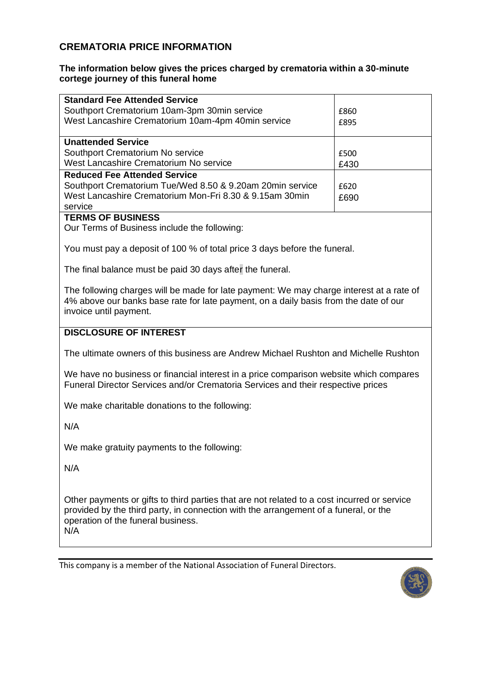### **CREMATORIA PRICE INFORMATION**

#### **The information below gives the prices charged by crematoria within a 30-minute cortege journey of this funeral home**

| <b>Standard Fee Attended Service</b>                                                        |      |  |
|---------------------------------------------------------------------------------------------|------|--|
|                                                                                             |      |  |
| Southport Crematorium 10am-3pm 30min service                                                | £860 |  |
| West Lancashire Crematorium 10am-4pm 40min service                                          | £895 |  |
| <b>Unattended Service</b>                                                                   |      |  |
| Southport Crematorium No service                                                            | £500 |  |
| West Lancashire Crematorium No service                                                      | £430 |  |
| <b>Reduced Fee Attended Service</b>                                                         |      |  |
| Southport Crematorium Tue/Wed 8.50 & 9.20am 20min service                                   | £620 |  |
| West Lancashire Crematorium Mon-Fri 8.30 & 9.15am 30min                                     | £690 |  |
| service                                                                                     |      |  |
| <b>TERMS OF BUSINESS</b>                                                                    |      |  |
| Our Terms of Business include the following:                                                |      |  |
|                                                                                             |      |  |
| You must pay a deposit of 100 % of total price 3 days before the funeral.                   |      |  |
| The final balance must be paid 30 days after the funeral.                                   |      |  |
|                                                                                             |      |  |
| The following charges will be made for late payment: We may charge interest at a rate of    |      |  |
| 4% above our banks base rate for late payment, on a daily basis from the date of our        |      |  |
| invoice until payment.                                                                      |      |  |
|                                                                                             |      |  |
| <b>DISCLOSURE OF INTEREST</b>                                                               |      |  |
|                                                                                             |      |  |
| The ultimate owners of this business are Andrew Michael Rushton and Michelle Rushton        |      |  |
|                                                                                             |      |  |
| We have no business or financial interest in a price comparison website which compares      |      |  |
| Funeral Director Services and/or Crematoria Services and their respective prices            |      |  |
|                                                                                             |      |  |
| We make charitable donations to the following:                                              |      |  |
| N/A                                                                                         |      |  |
| We make gratuity payments to the following:                                                 |      |  |
|                                                                                             |      |  |
| N/A                                                                                         |      |  |
|                                                                                             |      |  |
|                                                                                             |      |  |
| Other payments or gifts to third parties that are not related to a cost incurred or service |      |  |
| provided by the third party, in connection with the arrangement of a funeral, or the        |      |  |
| operation of the funeral business.                                                          |      |  |
| N/A                                                                                         |      |  |

This company is a member of the National Association of Funeral Directors.

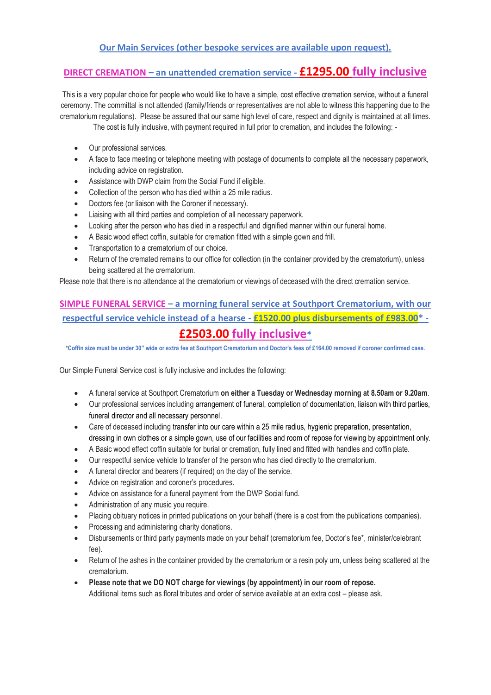#### **Our Main Services (other bespoke services are available upon request).**

### **DIRECT CREMATION – an unattended cremation service - £1295.00 fully inclusive**

This is a very popular choice for people who would like to have a simple, cost effective cremation service, without a funeral ceremony. The committal is not attended (family/friends or representatives are not able to witness this happening due to the crematorium regulations). Please be assured that our same high level of care, respect and dignity is maintained at all times.

The cost is fully inclusive, with payment required in full prior to cremation, and includes the following: -

- Our professional services.
- A face to face meeting or telephone meeting with postage of documents to complete all the necessary paperwork, including advice on registration.
- Assistance with DWP claim from the Social Fund if eligible.
- Collection of the person who has died within a 25 mile radius.
- Doctors fee (or liaison with the Coroner if necessary).
- Liaising with all third parties and completion of all necessary paperwork.
- Looking after the person who has died in a respectful and dignified manner within our funeral home.
- A Basic wood effect coffin, suitable for cremation fitted with a simple gown and frill.
- Transportation to a crematorium of our choice.
- Return of the cremated remains to our office for collection (in the container provided by the crematorium), unless being scattered at the crematorium.

Please note that there is no attendance at the crematorium or viewings of deceased with the direct cremation service.

### **SIMPLE FUNERAL SERVICE – a morning funeral service at Southport Crematorium, with our respectful service vehicle instead of a hearse - £1520.00 plus disbursements of £983.00\* - £2503.00 fully inclusive\***

**\*Coffin size must be under 30" wide or extra fee at Southport Crematorium and Doctor's fees of £164.00 removed if coroner confirmed case.**

Our Simple Funeral Service cost is fully inclusive and includes the following:

- A funeral service at Southport Crematorium **on either a Tuesday or Wednesday morning at 8.50am or 9.20am**.
- Our professional services including arrangement of funeral, completion of documentation, liaison with third parties, funeral director and all necessary personnel.
- Care of deceased including transfer into our care within a 25 mile radius, hygienic preparation, presentation, dressing in own clothes or a simple gown, use of our facilities and room of repose for viewing by appointment only.
- A Basic wood effect coffin suitable for burial or cremation, fully lined and fitted with handles and coffin plate.
- Our respectful service vehicle to transfer of the person who has died directly to the crematorium.
- A funeral director and bearers (if required) on the day of the service.
- Advice on registration and coroner's procedures.
- Advice on assistance for a funeral payment from the DWP Social fund.
- Administration of any music you require.
- Placing obituary notices in printed publications on your behalf (there is a cost from the publications companies).
- Processing and administering charity donations.
- Disbursements or third party payments made on your behalf (crematorium fee, Doctor's fee\*, minister/celebrant fee).
- Return of the ashes in the container provided by the crematorium or a resin poly urn, unless being scattered at the crematorium.
- **Please note that we DO NOT charge for viewings (by appointment) in our room of repose.**  Additional items such as floral tributes and order of service available at an extra cost – please ask.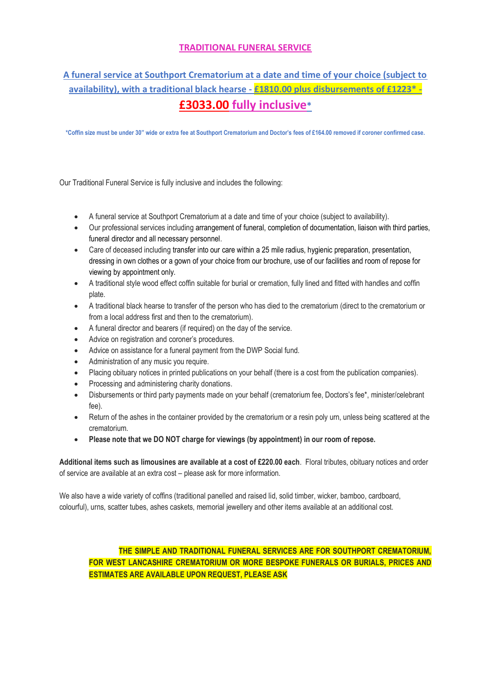#### **TRADITIONAL FUNERAL SERVICE**

## **A funeral service at Southport Crematorium at a date and time of your choice (subject to availability), with a traditional black hearse - £1810.00 plus disbursements of £1223\* - £3033.00 fully inclusive\***

**\*Coffin size must be under 30" wide or extra fee at Southport Crematorium and Doctor's fees of £164.00 removed if coroner confirmed case.**

Our Traditional Funeral Service is fully inclusive and includes the following:

- A funeral service at Southport Crematorium at a date and time of your choice (subject to availability).
- Our professional services including arrangement of funeral, completion of documentation, liaison with third parties, funeral director and all necessary personnel.
- Care of deceased including transfer into our care within a 25 mile radius, hygienic preparation, presentation, dressing in own clothes or a gown of your choice from our brochure, use of our facilities and room of repose for viewing by appointment only.
- A traditional style wood effect coffin suitable for burial or cremation, fully lined and fitted with handles and coffin plate.
- A traditional black hearse to transfer of the person who has died to the crematorium (direct to the crematorium or from a local address first and then to the crematorium).
- A funeral director and bearers (if required) on the day of the service.
- Advice on registration and coroner's procedures.
- Advice on assistance for a funeral payment from the DWP Social fund.
- Administration of any music you require.
- Placing obituary notices in printed publications on your behalf (there is a cost from the publication companies).
- Processing and administering charity donations.
- Disbursements or third party payments made on your behalf (crematorium fee, Doctors's fee\*, minister/celebrant fee).
- Return of the ashes in the container provided by the crematorium or a resin poly urn, unless being scattered at the crematorium.
- **Please note that we DO NOT charge for viewings (by appointment) in our room of repose.**

**Additional items such as limousines are available at a cost of £220.00 each**. Floral tributes, obituary notices and order of service are available at an extra cost – please ask for more information.

We also have a wide variety of coffins (traditional panelled and raised lid, solid timber, wicker, bamboo, cardboard, colourful), urns, scatter tubes, ashes caskets, memorial jewellery and other items available at an additional cost.

**THE SIMPLE AND TRADITIONAL FUNERAL SERVICES ARE FOR SOUTHPORT CREMATORIUM, FOR WEST LANCASHIRE CREMATORIUM OR MORE BESPOKE FUNERALS OR BURIALS, PRICES AND ESTIMATES ARE AVAILABLE UPON REQUEST, PLEASE ASK**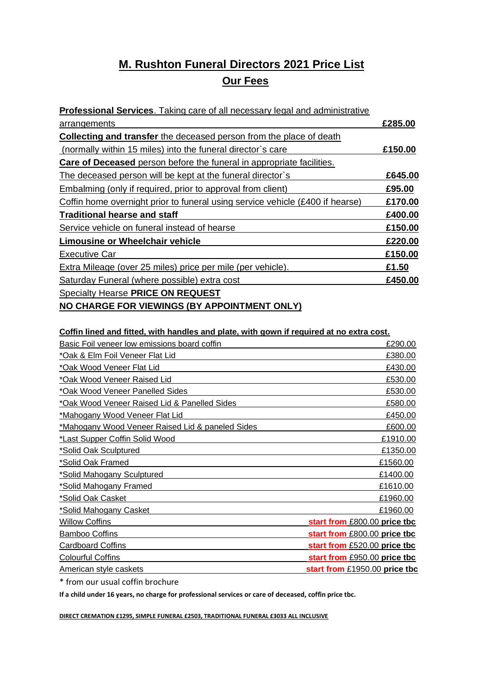# **M. Rushton Funeral Directors 2021 Price List Our Fees**

| <b>Professional Services.</b> Taking care of all necessary legal and administrative |         |
|-------------------------------------------------------------------------------------|---------|
| arrangements                                                                        | £285.00 |
| <b>Collecting and transfer</b> the deceased person from the place of death          |         |
| (normally within 15 miles) into the funeral director's care                         | £150.00 |
| <b>Care of Deceased</b> person before the funeral in appropriate facilities.        |         |
| The deceased person will be kept at the funeral director's                          | £645.00 |
| Embalming (only if required, prior to approval from client)                         | £95.00  |
| Coffin home overnight prior to funeral using service vehicle (£400 if hearse)       | £170.00 |
| <b>Traditional hearse and staff</b>                                                 | £400.00 |
| Service vehicle on funeral instead of hearse                                        | £150.00 |
| <b>Limousine or Wheelchair vehicle</b>                                              | £220.00 |
| Executive Car                                                                       | £150.00 |
| Extra Mileage (over 25 miles) price per mile (per vehicle).                         | £1.50   |
| Saturday Funeral (where possible) extra cost                                        | £450.00 |
| <b>Specialty Hearse PRICE ON REQUEST</b>                                            |         |
| NO CHARGE FOR VIEWINGS (BY APPOINTMENT ONLY)                                        |         |

#### **Coffin lined and fitted, with handles and plate, with gown if required at no extra cost.**

| Basic Foil veneer low emissions board coffin     | £290.00                       |
|--------------------------------------------------|-------------------------------|
| *Oak & Elm Foil Veneer Flat Lid                  | £380.00                       |
| *Oak Wood Veneer Flat Lid                        | £430.00                       |
| *Oak Wood Veneer Raised Lid                      | £530.00                       |
| *Oak Wood Veneer Panelled Sides                  | £530.00                       |
| *Oak Wood Veneer Raised Lid & Panelled Sides     | £580.00                       |
| *Mahogany Wood Veneer Flat Lid                   | £450.00                       |
| *Mahogany Wood Veneer Raised Lid & paneled Sides | £600.00                       |
| *Last Supper Coffin Solid Wood                   | £1910.00                      |
| *Solid Oak Sculptured                            | £1350.00                      |
| *Solid Oak Framed                                | £1560.00                      |
| <u>*Solid Mahogany Sculptured</u>                | £1400.00                      |
| <u>*Solid Mahogany Framed</u>                    | £1610.00                      |
| *Solid Oak Casket                                | £1960.00                      |
| *Solid Mahogany Casket                           | £1960.00                      |
| <b>Willow Coffins</b>                            | start from £800.00 price tbc  |
| <b>Bamboo Coffins</b>                            | start from £800.00 price tbc  |
| <b>Cardboard Coffins</b>                         | start from £520.00 price tbc  |
| <b>Colourful Coffins</b>                         | start from £950.00 price tbc  |
| American style caskets                           | start from £1950.00 price tbc |

\* from our usual coffin brochure

**If a child under 16 years, no charge for professional services or care of deceased, coffin price tbc.**

**DIRECT CREMATION £1295, SIMPLE FUNERAL £2503, TRADITIONAL FUNERAL £3033 ALL INCLUSIVE**